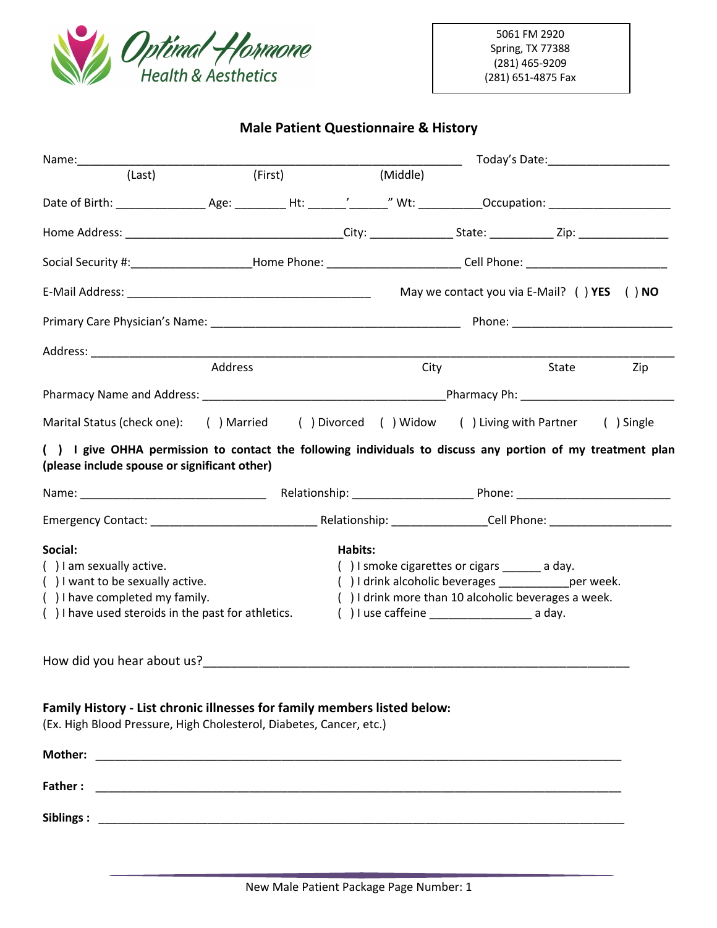

# **Male Patient Questionnaire & History**

|                                                                                                                                                                                                                                        |         |         |          |                                                                                                                                                                                                           | Today's Date:_______________________ |            |
|----------------------------------------------------------------------------------------------------------------------------------------------------------------------------------------------------------------------------------------|---------|---------|----------|-----------------------------------------------------------------------------------------------------------------------------------------------------------------------------------------------------------|--------------------------------------|------------|
| (Last)                                                                                                                                                                                                                                 | (First) |         | (Middle) |                                                                                                                                                                                                           |                                      |            |
| Date of Birth: ___________________________________Ht: _________'_'______" Wt: _____________Occupation: ________________________________                                                                                                |         |         |          |                                                                                                                                                                                                           |                                      |            |
|                                                                                                                                                                                                                                        |         |         |          |                                                                                                                                                                                                           |                                      |            |
| Social Security #:_________________________Home Phone: __________________________Cell Phone: _________________                                                                                                                         |         |         |          |                                                                                                                                                                                                           |                                      |            |
|                                                                                                                                                                                                                                        |         |         |          | May we contact you via E-Mail? () YES () NO                                                                                                                                                               |                                      |            |
|                                                                                                                                                                                                                                        |         |         |          |                                                                                                                                                                                                           |                                      |            |
|                                                                                                                                                                                                                                        |         |         |          |                                                                                                                                                                                                           |                                      |            |
|                                                                                                                                                                                                                                        | Address |         | City     |                                                                                                                                                                                                           | State                                | Zip        |
|                                                                                                                                                                                                                                        |         |         |          |                                                                                                                                                                                                           |                                      |            |
| Marital Status (check one): ( ) Married ( ) Divorced ( ) Widow ( ) Living with Partner                                                                                                                                                 |         |         |          |                                                                                                                                                                                                           |                                      | ( ) Single |
| () I give OHHA permission to contact the following individuals to discuss any portion of my treatment plan<br>(please include spouse or significant other)                                                                             |         |         |          |                                                                                                                                                                                                           |                                      |            |
|                                                                                                                                                                                                                                        |         |         |          |                                                                                                                                                                                                           |                                      |            |
|                                                                                                                                                                                                                                        |         |         |          |                                                                                                                                                                                                           |                                      |            |
| Social:<br>() I am sexually active.<br>() I want to be sexually active.<br>() I have completed my family.<br>() I have used steroids in the past for athletics.                                                                        |         | Habits: |          | () I smoke cigarettes or cigars ______ a day.<br>() I drink alcoholic beverages ______________ per week.<br>() I drink more than 10 alcoholic beverages a week.<br>() I use caffeine $\frac{1}{2}$ a day. |                                      |            |
| How did you hear about us?<br><u>Letting the contract of the contract of the set of the set of the set of the set of the set of the set of the set of the set of the set of the set of the set of the set of the set of the set of</u> |         |         |          |                                                                                                                                                                                                           |                                      |            |
| Family History - List chronic illnesses for family members listed below:<br>(Ex. High Blood Pressure, High Cholesterol, Diabetes, Cancer, etc.)                                                                                        |         |         |          |                                                                                                                                                                                                           |                                      |            |
|                                                                                                                                                                                                                                        |         |         |          |                                                                                                                                                                                                           |                                      |            |
|                                                                                                                                                                                                                                        |         |         |          |                                                                                                                                                                                                           |                                      |            |
|                                                                                                                                                                                                                                        |         |         |          |                                                                                                                                                                                                           |                                      |            |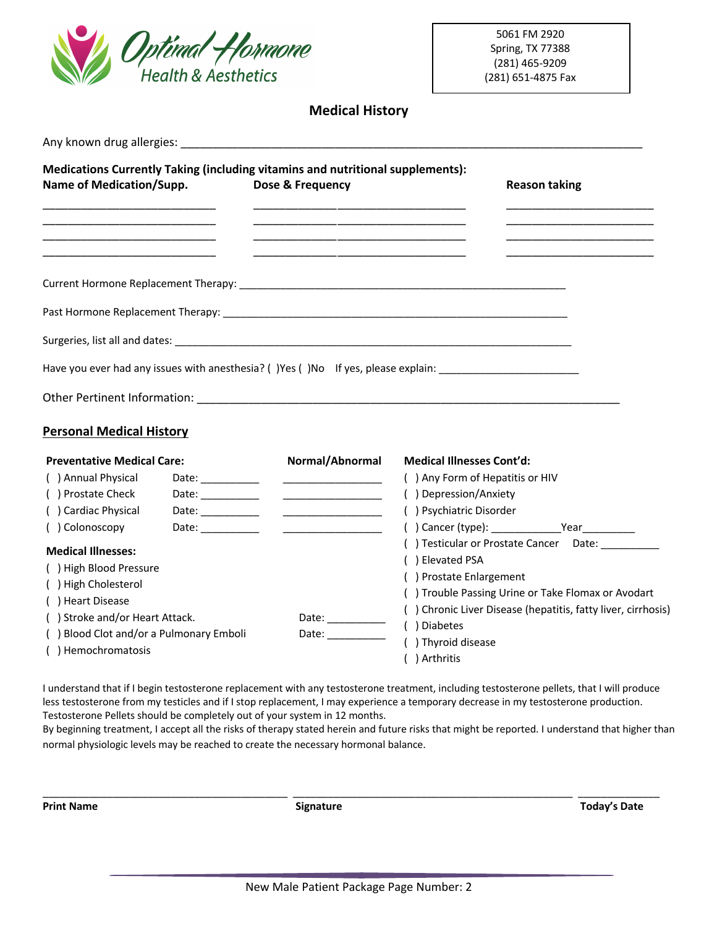

# **Medical History**

| <b>Name of Medication/Supp.</b>                                                                                      |                                                                                                                                                                                                                                                                                                                                                                                                               | Medications Currently Taking (including vitamins and nutritional supplements):<br>Dose & Frequency | <b>Reason taking</b>                                                                                                                     |
|----------------------------------------------------------------------------------------------------------------------|---------------------------------------------------------------------------------------------------------------------------------------------------------------------------------------------------------------------------------------------------------------------------------------------------------------------------------------------------------------------------------------------------------------|----------------------------------------------------------------------------------------------------|------------------------------------------------------------------------------------------------------------------------------------------|
| <u> 1980 - Johann John Stone, markin fan it ferstjer fan it ferstjer fan it ferstjer fan it ferstjer fan it fers</u> |                                                                                                                                                                                                                                                                                                                                                                                                               |                                                                                                    |                                                                                                                                          |
|                                                                                                                      |                                                                                                                                                                                                                                                                                                                                                                                                               |                                                                                                    |                                                                                                                                          |
|                                                                                                                      |                                                                                                                                                                                                                                                                                                                                                                                                               |                                                                                                    |                                                                                                                                          |
|                                                                                                                      |                                                                                                                                                                                                                                                                                                                                                                                                               |                                                                                                    |                                                                                                                                          |
|                                                                                                                      |                                                                                                                                                                                                                                                                                                                                                                                                               |                                                                                                    | Have you ever had any issues with anesthesia? () Yes () No If yes, please explain: ___________________________                           |
|                                                                                                                      |                                                                                                                                                                                                                                                                                                                                                                                                               |                                                                                                    |                                                                                                                                          |
| <b>Personal Medical History</b>                                                                                      |                                                                                                                                                                                                                                                                                                                                                                                                               |                                                                                                    |                                                                                                                                          |
| <b>Preventative Medical Care:</b>                                                                                    |                                                                                                                                                                                                                                                                                                                                                                                                               | Normal/Abnormal                                                                                    | <b>Medical Illnesses Cont'd:</b>                                                                                                         |
| ( ) Annual Physical                                                                                                  | Date: ____________                                                                                                                                                                                                                                                                                                                                                                                            |                                                                                                    | () Any Form of Hepatitis or HIV                                                                                                          |
| () Prostate Check                                                                                                    | Date: $\frac{1}{\sqrt{1-\frac{1}{2}}\sqrt{1-\frac{1}{2}}\sqrt{1-\frac{1}{2}}\sqrt{1-\frac{1}{2}}\sqrt{1-\frac{1}{2}}\sqrt{1-\frac{1}{2}}\sqrt{1-\frac{1}{2}}\sqrt{1-\frac{1}{2}}\sqrt{1-\frac{1}{2}}\sqrt{1-\frac{1}{2}}\sqrt{1-\frac{1}{2}}\sqrt{1-\frac{1}{2}}\sqrt{1-\frac{1}{2}}\sqrt{1-\frac{1}{2}}\sqrt{1-\frac{1}{2}}\sqrt{1-\frac{1}{2}}\sqrt{1-\frac{1}{2}}\sqrt{1-\frac{1}{2}}\sqrt{1-\frac{1}{2}}$ | <u> 2000 - Jan James James Barnett, primeira politi</u>                                            | () Depression/Anxiety                                                                                                                    |
| () Cardiac Physical                                                                                                  |                                                                                                                                                                                                                                                                                                                                                                                                               |                                                                                                    | () Psychiatric Disorder                                                                                                                  |
| () Colonoscopy                                                                                                       | Date: $\frac{1}{\sqrt{1-\frac{1}{2}}\sqrt{1-\frac{1}{2}}\sqrt{1-\frac{1}{2}}\sqrt{1-\frac{1}{2}}\sqrt{1-\frac{1}{2}}\sqrt{1-\frac{1}{2}}\sqrt{1-\frac{1}{2}}\sqrt{1-\frac{1}{2}}\sqrt{1-\frac{1}{2}}\sqrt{1-\frac{1}{2}}\sqrt{1-\frac{1}{2}}\sqrt{1-\frac{1}{2}}\sqrt{1-\frac{1}{2}}\sqrt{1-\frac{1}{2}}\sqrt{1-\frac{1}{2}}\sqrt{1-\frac{1}{2}}\sqrt{1-\frac{1}{2}}\sqrt{1-\frac{1}{2}}\sqrt{1-\frac{1}{2}}$ | <u> 1980 - Johann Barbara, martin a</u>                                                            |                                                                                                                                          |
| <b>Medical Illnesses:</b>                                                                                            |                                                                                                                                                                                                                                                                                                                                                                                                               |                                                                                                    | () Testicular or Prostate Cancer Date:                                                                                                   |
| () High Blood Pressure                                                                                               |                                                                                                                                                                                                                                                                                                                                                                                                               |                                                                                                    | () Elevated PSA                                                                                                                          |
| () High Cholesterol                                                                                                  |                                                                                                                                                                                                                                                                                                                                                                                                               |                                                                                                    | () Prostate Enlargement                                                                                                                  |
| ( ) Heart Disease                                                                                                    |                                                                                                                                                                                                                                                                                                                                                                                                               |                                                                                                    | () Trouble Passing Urine or Take Flomax or Avodart                                                                                       |
| () Stroke and/or Heart Attack.                                                                                       |                                                                                                                                                                                                                                                                                                                                                                                                               | Date: __________                                                                                   | () Chronic Liver Disease (hepatitis, fatty liver, cirrhosis)                                                                             |
| () Blood Clot and/or a Pulmonary Emboli                                                                              |                                                                                                                                                                                                                                                                                                                                                                                                               | Date: __________                                                                                   | ( ) Diabetes                                                                                                                             |
| () Hemochromatosis                                                                                                   |                                                                                                                                                                                                                                                                                                                                                                                                               |                                                                                                    | () Thyroid disease<br>$\mathbf{I}$ and $\mathbf{I}$ and $\mathbf{I}$ and $\mathbf{I}$ and $\mathbf{I}$ and $\mathbf{I}$ and $\mathbf{I}$ |

( ) Arthritis

I understand that if I begin testosterone replacement with any testosterone treatment, including testosterone pellets, that I will produce less testosterone from my testicles and if I stop replacement, I may experience a temporary decrease in my testosterone production. Testosterone Pellets should be completely out of your system in 12 months.

By beginning treatment, I accept all the risks of therapy stated herein and future risks that might be reported. I understand that higher than normal physiologic levels may be reached to create the necessary hormonal balance.

\_\_\_\_\_\_\_\_\_\_\_\_\_\_\_\_\_\_\_\_\_\_\_\_\_\_\_\_\_\_\_\_\_\_\_\_\_\_\_\_\_\_ \_\_\_\_\_\_\_\_\_\_\_\_\_\_\_\_\_\_\_\_\_\_\_\_\_\_\_\_\_\_\_\_\_\_\_\_\_\_\_\_\_\_\_\_\_\_\_\_ \_\_\_\_\_\_\_\_\_\_\_\_\_\_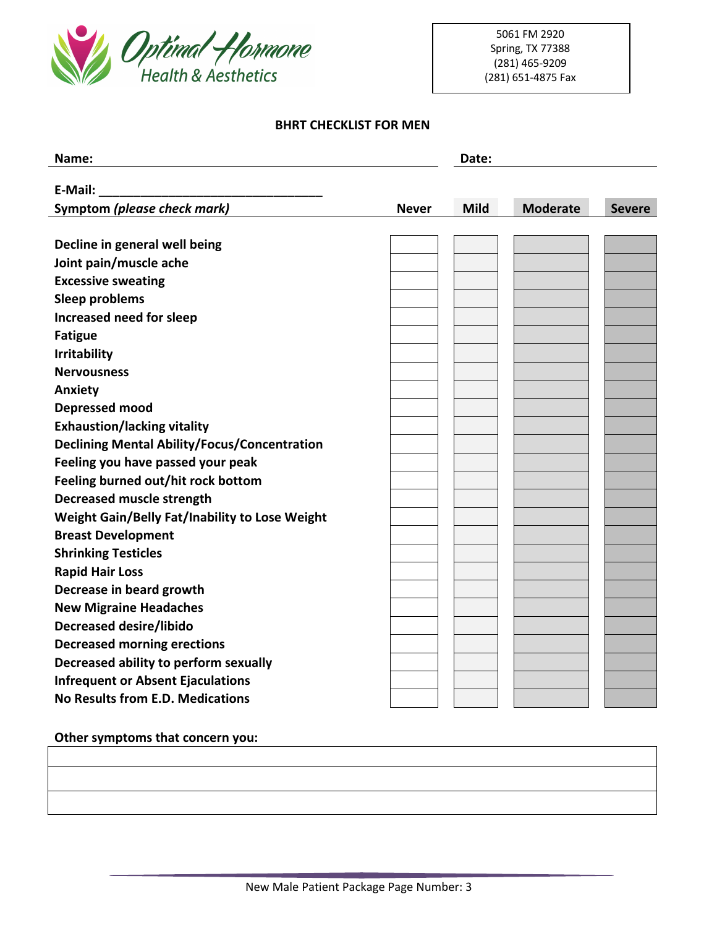

### **BHRT CHECKLIST FOR MEN**

| Name:                                               |              | Date:       |                 |               |
|-----------------------------------------------------|--------------|-------------|-----------------|---------------|
| E-Mail:                                             |              |             |                 |               |
| Symptom (please check mark)                         | <b>Never</b> | <b>Mild</b> | <b>Moderate</b> | <b>Severe</b> |
|                                                     |              |             |                 |               |
| Decline in general well being                       |              |             |                 |               |
| Joint pain/muscle ache                              |              |             |                 |               |
| <b>Excessive sweating</b>                           |              |             |                 |               |
| <b>Sleep problems</b>                               |              |             |                 |               |
| Increased need for sleep                            |              |             |                 |               |
| <b>Fatigue</b>                                      |              |             |                 |               |
| <b>Irritability</b>                                 |              |             |                 |               |
| <b>Nervousness</b>                                  |              |             |                 |               |
| Anxiety                                             |              |             |                 |               |
| <b>Depressed mood</b>                               |              |             |                 |               |
| <b>Exhaustion/lacking vitality</b>                  |              |             |                 |               |
| <b>Declining Mental Ability/Focus/Concentration</b> |              |             |                 |               |
| Feeling you have passed your peak                   |              |             |                 |               |
| Feeling burned out/hit rock bottom                  |              |             |                 |               |
| Decreased muscle strength                           |              |             |                 |               |
| Weight Gain/Belly Fat/Inability to Lose Weight      |              |             |                 |               |
| <b>Breast Development</b>                           |              |             |                 |               |
| <b>Shrinking Testicles</b>                          |              |             |                 |               |
| <b>Rapid Hair Loss</b>                              |              |             |                 |               |
| Decrease in beard growth                            |              |             |                 |               |
| <b>New Migraine Headaches</b>                       |              |             |                 |               |
| <b>Decreased desire/libido</b>                      |              |             |                 |               |
| <b>Decreased morning erections</b>                  |              |             |                 |               |
| Decreased ability to perform sexually               |              |             |                 |               |
| <b>Infrequent or Absent Ejaculations</b>            |              |             |                 |               |
| No Results from E.D. Medications                    |              |             |                 |               |
|                                                     |              |             |                 |               |

**Other symptoms that concern you:**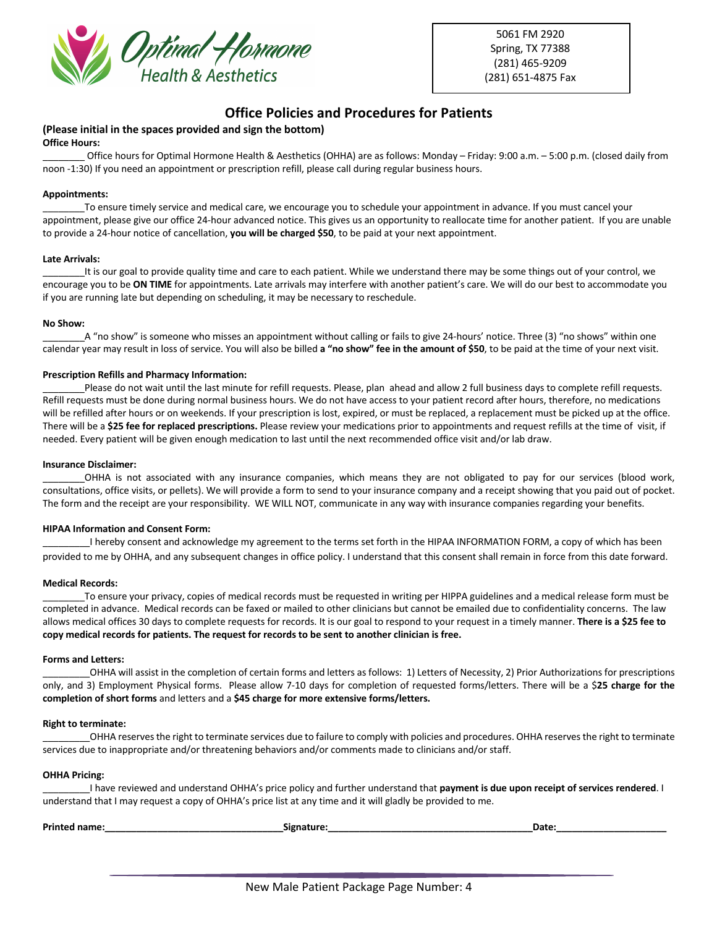

5061 FM 2920 Spring, TX 77388 (281) 465-9209 (281) 651-4875 Fax

# **Office Policies and Procedures for Patients**

#### **(Please initial in the spaces provided and sign the bottom) Office Hours:**

Office hours for Optimal Hormone Health & Aesthetics (OHHA) are as follows: Monday – Friday: 9:00 a.m. – 5:00 p.m. (closed daily from noon -1:30) If you need an appointment or prescription refill, please call during regular business hours.

#### **Appointments:**

\_\_\_\_\_\_\_\_To ensure timely service and medical care, we encourage you to schedule your appointment in advance. If you must cancel your appointment, please give our office 24-hour advanced notice. This gives us an opportunity to reallocate time for another patient. If you are unable to provide a 24-hour notice of cancellation, **you will be charged \$50**, to be paid at your next appointment.

#### **Late Arrivals:**

It is our goal to provide quality time and care to each patient. While we understand there may be some things out of your control, we encourage you to be **ON TIME** for appointments. Late arrivals may interfere with another patient's care. We will do our best to accommodate you if you are running late but depending on scheduling, it may be necessary to reschedule.

#### **No Show:**

A "no show" is someone who misses an appointment without calling or fails to give 24-hours' notice. Three (3) "no shows" within one calendar year may result in loss of service. You will also be billed **a "no show" fee in the amount of \$50**, to be paid at the time of your next visit.

#### **Prescription Refills and Pharmacy Information:**

Please do not wait until the last minute for refill requests. Please, plan ahead and allow 2 full business days to complete refill requests. Refill requests must be done during normal business hours. We do not have access to your patient record after hours, therefore, no medications will be refilled after hours or on weekends. If your prescription is lost, expired, or must be replaced, a replacement must be picked up at the office. There will be a **\$25 fee for replaced prescriptions.** Please review your medications prior to appointments and request refills at the time of visit, if needed. Every patient will be given enough medication to last until the next recommended office visit and/or lab draw.

#### **Insurance Disclaimer:**

\_\_\_\_\_\_\_\_OHHA is not associated with any insurance companies, which means they are not obligated to pay for our services (blood work, consultations, office visits, or pellets). We will provide a form to send to your insurance company and a receipt showing that you paid out of pocket. The form and the receipt are your responsibility. WE WILL NOT, communicate in any way with insurance companies regarding your benefits.

#### **HIPAA Information and Consent Form:**

\_\_\_\_\_\_\_\_\_I hereby consent and acknowledge my agreement to the terms set forth in the HIPAA INFORMATION FORM, a copy of which has been provided to me by OHHA, and any subsequent changes in office policy. I understand that this consent shall remain in force from this date forward.

#### **Medical Records:**

To ensure your privacy, copies of medical records must be requested in writing per HIPPA guidelines and a medical release form must be completed in advance. Medical records can be faxed or mailed to other clinicians but cannot be emailed due to confidentiality concerns. The law allows medical offices 30 days to complete requests for records. It is our goal to respond to your request in a timely manner. **There is a \$25 fee to copy medical records for patients. The request for records to be sent to another clinician is free.**

#### **Forms and Letters:**

\_\_\_\_\_\_\_\_\_OHHA will assist in the completion of certain forms and letters as follows: 1) Letters of Necessity, 2) Prior Authorizations for prescriptions only, and 3) Employment Physical forms. Please allow 7-10 days for completion of requested forms/letters. There will be a \$**25 charge for the completion of short forms** and letters and a **\$45 charge for more extensive forms/letters.**

#### **Right to terminate:**

\_\_\_\_\_\_\_\_\_OHHA reserves the right to terminate services due to failure to comply with policies and procedures. OHHA reserves the right to terminate services due to inappropriate and/or threatening behaviors and/or comments made to clinicians and/or staff.

#### **OHHA Pricing:**

\_\_\_\_\_\_\_\_\_I have reviewed and understand OHHA's price policy and further understand that **payment is due upon receipt of services rendered**. I understand that I may request a copy of OHHA's price list at any time and it will gladly be provided to me.

| Drin <sub>1</sub> | Date<br>-- |
|-------------------|------------|
|                   |            |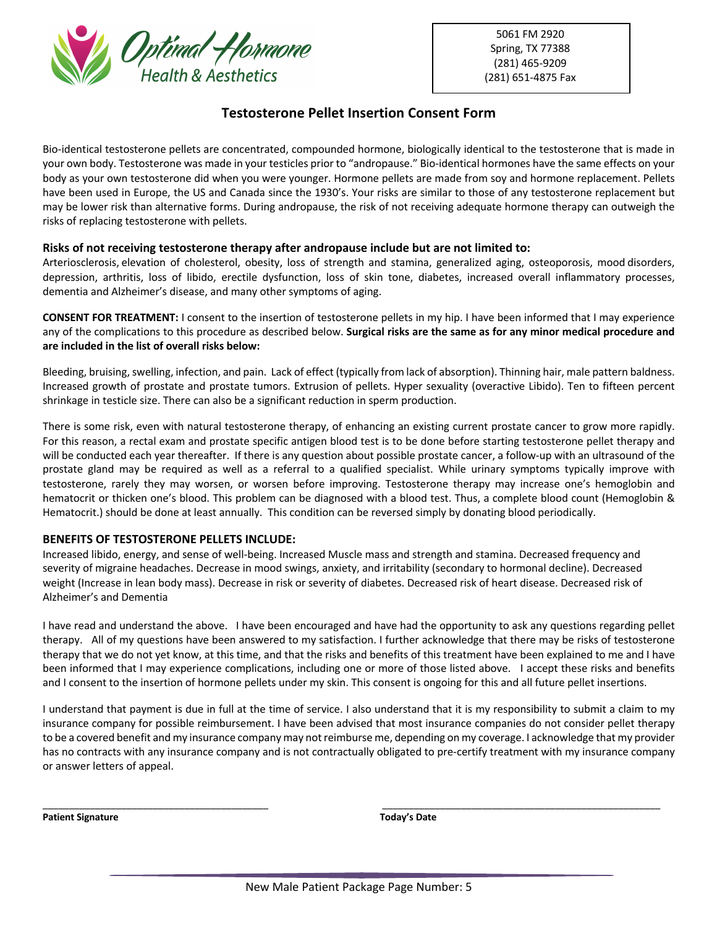

5061 FM 2920 Spring, TX 77388 (281) 465-9209 (281) 651-4875 Fax

# **Testosterone Pellet Insertion Consent Form**

Bio-identical testosterone pellets are concentrated, compounded hormone, biologically identical to the testosterone that is made in your own body. Testosterone was made in your testicles prior to "andropause." Bio-identical hormones have the same effects on your body as your own testosterone did when you were younger. Hormone pellets are made from soy and hormone replacement. Pellets have been used in Europe, the US and Canada since the 1930's. Your risks are similar to those of any testosterone replacement but may be lower risk than alternative forms. During andropause, the risk of not receiving adequate hormone therapy can outweigh the risks of replacing testosterone with pellets.

### **Risks of not receiving testosterone therapy after andropause include but are not limited to:**

Arteriosclerosis, elevation of cholesterol, obesity, loss of strength and stamina, generalized aging, osteoporosis, mood disorders, depression, arthritis, loss of libido, erectile dysfunction, loss of skin tone, diabetes, increased overall inflammatory processes, dementia and Alzheimer's disease, and many other symptoms of aging.

**CONSENT FOR TREATMENT:** I consent to the insertion of testosterone pellets in my hip. I have been informed that I may experience any of the complications to this procedure as described below. **Surgical risks are the same as for any minor medical procedure and are included in the list of overall risks below:**

Bleeding, bruising, swelling, infection, and pain. Lack of effect (typically from lack of absorption). Thinning hair, male pattern baldness. Increased growth of prostate and prostate tumors. Extrusion of pellets. Hyper sexuality (overactive Libido). Ten to fifteen percent shrinkage in testicle size. There can also be a significant reduction in sperm production.

There is some risk, even with natural testosterone therapy, of enhancing an existing current prostate cancer to grow more rapidly. For this reason, a rectal exam and prostate specific antigen blood test is to be done before starting testosterone pellet therapy and will be conducted each year thereafter. If there is any question about possible prostate cancer, a follow-up with an ultrasound of the prostate gland may be required as well as a referral to a qualified specialist. While urinary symptoms typically improve with testosterone, rarely they may worsen, or worsen before improving. Testosterone therapy may increase one's hemoglobin and hematocrit or thicken one's blood. This problem can be diagnosed with a blood test. Thus, a complete blood count (Hemoglobin & Hematocrit.) should be done at least annually. This condition can be reversed simply by donating blood periodically.

### **BENEFITS OF TESTOSTERONE PELLETS INCLUDE:**

Increased libido, energy, and sense of well-being. Increased Muscle mass and strength and stamina. Decreased frequency and severity of migraine headaches. Decrease in mood swings, anxiety, and irritability (secondary to hormonal decline). Decreased weight (Increase in lean body mass). Decrease in risk or severity of diabetes. Decreased risk of heart disease. Decreased risk of Alzheimer's and Dementia

I have read and understand the above. I have been encouraged and have had the opportunity to ask any questions regarding pellet therapy. All of my questions have been answered to my satisfaction. I further acknowledge that there may be risks of testosterone therapy that we do not yet know, at this time, and that the risks and benefits of this treatment have been explained to me and I have been informed that I may experience complications, including one or more of those listed above. I accept these risks and benefits and I consent to the insertion of hormone pellets under my skin. This consent is ongoing for this and all future pellet insertions.

I understand that payment is due in full at the time of service. I also understand that it is my responsibility to submit a claim to my insurance company for possible reimbursement. I have been advised that most insurance companies do not consider pellet therapy to be a covered benefit and my insurance company may not reimburse me, depending on my coverage. I acknowledge that my provider has no contracts with any insurance company and is not contractually obligated to pre-certify treatment with my insurance company or answer letters of appeal.

\_\_\_\_\_\_\_\_\_\_\_\_\_\_\_\_\_\_\_\_\_\_\_\_\_\_\_\_\_\_\_\_\_\_\_\_\_\_\_\_\_\_\_ \_\_\_\_\_\_\_\_\_\_\_\_\_\_\_\_\_\_\_\_\_\_\_\_\_\_\_\_\_\_\_\_\_\_\_\_\_\_\_\_\_\_\_\_\_\_\_\_\_\_\_\_\_

**Patient Signature Today's Date**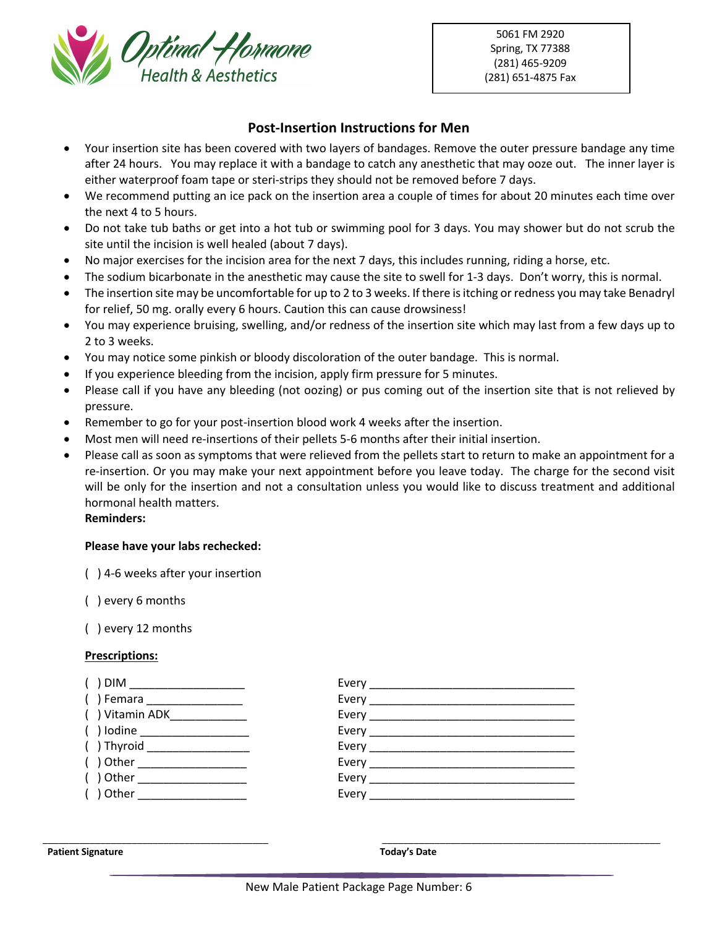

5061 FM 2920 Spring, TX 77388 (281) 465-9209 (281) 651-4875 Fax

# **Post-Insertion Instructions for Men**

- Your insertion site has been covered with two layers of bandages. Remove the outer pressure bandage any time after 24 hours. You may replace it with a bandage to catch any anesthetic that may ooze out. The inner layer is either waterproof foam tape or steri-strips they should not be removed before 7 days.
- We recommend putting an ice pack on the insertion area a couple of times for about 20 minutes each time over the next 4 to 5 hours.
- Do not take tub baths or get into a hot tub or swimming pool for 3 days. You may shower but do not scrub the site until the incision is well healed (about 7 days).
- No major exercises for the incision area for the next 7 days, this includes running, riding a horse, etc.
- The sodium bicarbonate in the anesthetic may cause the site to swell for 1-3 days. Don't worry, this is normal.
- The insertion site may be uncomfortable for up to 2 to 3 weeks. If there is itching or redness you may take Benadryl for relief, 50 mg. orally every 6 hours. Caution this can cause drowsiness!
- You may experience bruising, swelling, and/or redness of the insertion site which may last from a few days up to 2 to 3 weeks.
- You may notice some pinkish or bloody discoloration of the outer bandage. This is normal.
- If you experience bleeding from the incision, apply firm pressure for 5 minutes.
- Please call if you have any bleeding (not oozing) or pus coming out of the insertion site that is not relieved by pressure.
- Remember to go for your post-insertion blood work 4 weeks after the insertion.
- Most men will need re-insertions of their pellets 5-6 months after their initial insertion.
- Please call as soon as symptoms that were relieved from the pellets start to return to make an appointment for a re-insertion. Or you may make your next appointment before you leave today. The charge for the second visit will be only for the insertion and not a consultation unless you would like to discuss treatment and additional hormonal health matters.

### **Reminders:**

### **Please have your labs rechecked:**

( ) 4-6 weeks after your insertion

( ) every 6 months

( ) every 12 months

### **Prescriptions:**



#### **Patient Signature Today's Date**

\_\_\_\_\_\_\_\_\_\_\_\_\_\_\_\_\_\_\_\_\_\_\_\_\_\_\_\_\_\_\_\_\_\_\_\_\_\_\_\_\_\_\_ \_\_\_\_\_\_\_\_\_\_\_\_\_\_\_\_\_\_\_\_\_\_\_\_\_\_\_\_\_\_\_\_\_\_\_\_\_\_\_\_\_\_\_\_\_\_\_\_\_\_\_\_\_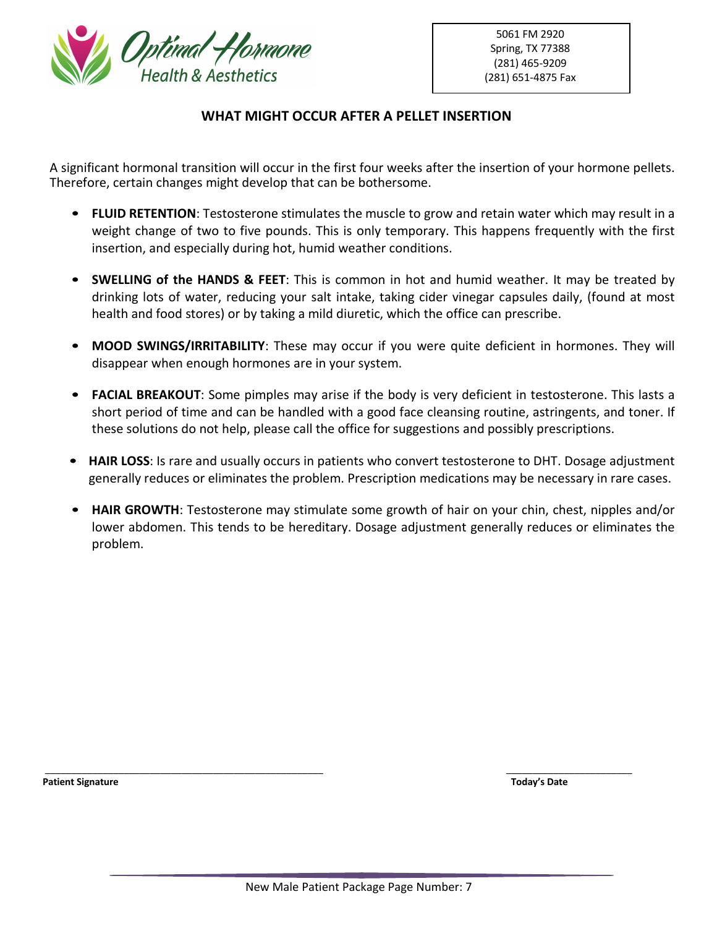

# **WHAT MIGHT OCCUR AFTER A PELLET INSERTION**

A significant hormonal transition will occur in the first four weeks after the insertion of your hormone pellets. Therefore, certain changes might develop that can be bothersome.

- **FLUID RETENTION**: Testosterone stimulates the muscle to grow and retain water which may result in a weight change of two to five pounds. This is only temporary. This happens frequently with the first insertion, and especially during hot, humid weather conditions.
- **SWELLING of the HANDS & FEET**: This is common in hot and humid weather. It may be treated by drinking lots of water, reducing your salt intake, taking cider vinegar capsules daily, (found at most health and food stores) or by taking a mild diuretic, which the office can prescribe.
- **MOOD SWINGS/IRRITABILITY**: These may occur if you were quite deficient in hormones. They will disappear when enough hormones are in your system.
- **FACIAL BREAKOUT**: Some pimples may arise if the body is very deficient in testosterone. This lasts a short period of time and can be handled with a good face cleansing routine, astringents, and toner. If these solutions do not help, please call the office for suggestions and possibly prescriptions.
- **HAIR LOSS**: Is rare and usually occurs in patients who convert testosterone to DHT. Dosage adjustment generally reduces or eliminates the problem. Prescription medications may be necessary in rare cases.
- **HAIR GROWTH**: Testosterone may stimulate some growth of hair on your chin, chest, nipples and/or lower abdomen. This tends to be hereditary. Dosage adjustment generally reduces or eliminates the problem.

**Patient Signature Today's Date** 

\_\_\_\_\_\_\_\_\_\_\_\_\_\_\_\_\_\_\_\_\_\_\_\_\_\_\_\_\_\_\_\_\_\_\_\_\_\_\_\_\_\_\_\_\_\_\_\_\_\_\_\_\_ \_\_\_\_\_\_\_\_\_\_\_\_\_\_\_\_\_\_\_\_\_\_\_\_